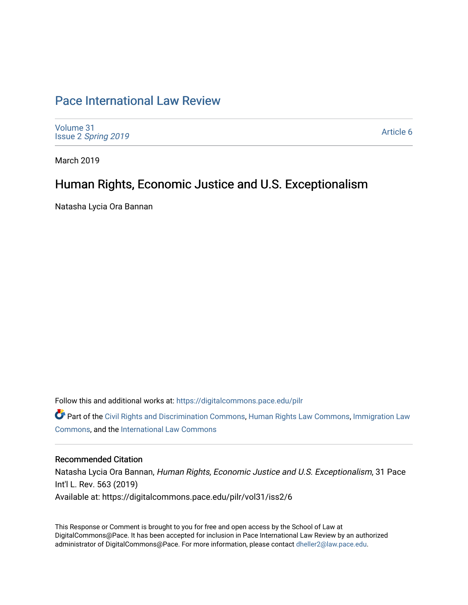# [Pace International Law Review](https://digitalcommons.pace.edu/pilr)

[Volume 31](https://digitalcommons.pace.edu/pilr/vol31) Issue 2 [Spring 2019](https://digitalcommons.pace.edu/pilr/vol31/iss2) 

[Article 6](https://digitalcommons.pace.edu/pilr/vol31/iss2/6) 

March 2019

## Human Rights, Economic Justice and U.S. Exceptionalism

Natasha Lycia Ora Bannan

Follow this and additional works at: [https://digitalcommons.pace.edu/pilr](https://digitalcommons.pace.edu/pilr?utm_source=digitalcommons.pace.edu%2Fpilr%2Fvol31%2Fiss2%2F6&utm_medium=PDF&utm_campaign=PDFCoverPages) 

Part of the [Civil Rights and Discrimination Commons,](http://network.bepress.com/hgg/discipline/585?utm_source=digitalcommons.pace.edu%2Fpilr%2Fvol31%2Fiss2%2F6&utm_medium=PDF&utm_campaign=PDFCoverPages) [Human Rights Law Commons,](http://network.bepress.com/hgg/discipline/847?utm_source=digitalcommons.pace.edu%2Fpilr%2Fvol31%2Fiss2%2F6&utm_medium=PDF&utm_campaign=PDFCoverPages) [Immigration Law](http://network.bepress.com/hgg/discipline/604?utm_source=digitalcommons.pace.edu%2Fpilr%2Fvol31%2Fiss2%2F6&utm_medium=PDF&utm_campaign=PDFCoverPages)  [Commons](http://network.bepress.com/hgg/discipline/604?utm_source=digitalcommons.pace.edu%2Fpilr%2Fvol31%2Fiss2%2F6&utm_medium=PDF&utm_campaign=PDFCoverPages), and the [International Law Commons](http://network.bepress.com/hgg/discipline/609?utm_source=digitalcommons.pace.edu%2Fpilr%2Fvol31%2Fiss2%2F6&utm_medium=PDF&utm_campaign=PDFCoverPages) 

#### Recommended Citation

Natasha Lycia Ora Bannan, Human Rights, Economic Justice and U.S. Exceptionalism, 31 Pace Int'l L. Rev. 563 (2019) Available at: https://digitalcommons.pace.edu/pilr/vol31/iss2/6

This Response or Comment is brought to you for free and open access by the School of Law at DigitalCommons@Pace. It has been accepted for inclusion in Pace International Law Review by an authorized administrator of DigitalCommons@Pace. For more information, please contact [dheller2@law.pace.edu.](mailto:dheller2@law.pace.edu)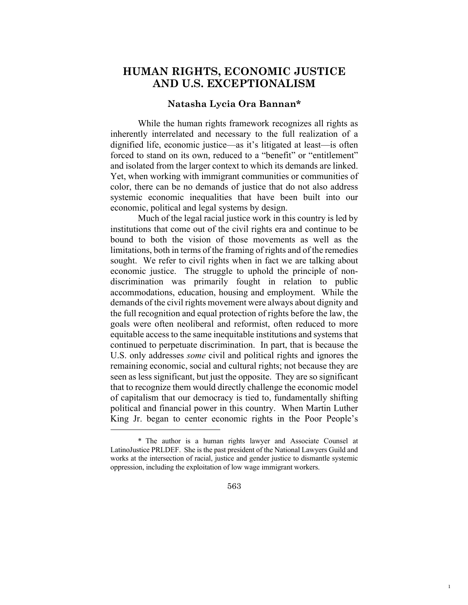### **HUMAN RIGHTS, ECONOMIC JUSTICE AND U.S. EXCEPTIONALISM**

#### **Natasha Lycia Ora Bannan\***

While the human rights framework recognizes all rights as inherently interrelated and necessary to the full realization of a dignified life, economic justice—as it's litigated at least—is often forced to stand on its own, reduced to a "benefit" or "entitlement" and isolated from the larger context to which its demands are linked. Yet, when working with immigrant communities or communities of color, there can be no demands of justice that do not also address systemic economic inequalities that have been built into our economic, political and legal systems by design.

Much of the legal racial justice work in this country is led by institutions that come out of the civil rights era and continue to be bound to both the vision of those movements as well as the limitations, both in terms of the framing of rights and of the remedies sought. We refer to civil rights when in fact we are talking about economic justice. The struggle to uphold the principle of nondiscrimination was primarily fought in relation to public accommodations, education, housing and employment. While the demands of the civil rights movement were always about dignity and the full recognition and equal protection of rights before the law, the goals were often neoliberal and reformist, often reduced to more equitable access to the same inequitable institutions and systems that continued to perpetuate discrimination. In part, that is because the U.S. only addresses *some* civil and political rights and ignores the remaining economic, social and cultural rights; not because they are seen as less significant, but just the opposite. They are so significant that to recognize them would directly challenge the economic model of capitalism that our democracy is tied to, fundamentally shifting political and financial power in this country. When Martin Luther King Jr. began to center economic rights in the Poor People's

 $\overline{a}$ 

563

1

<sup>\*</sup> The author is a human rights lawyer and Associate Counsel at LatinoJustice PRLDEF. She is the past president of the National Lawyers Guild and works at the intersection of racial, justice and gender justice to dismantle systemic oppression, including the exploitation of low wage immigrant workers.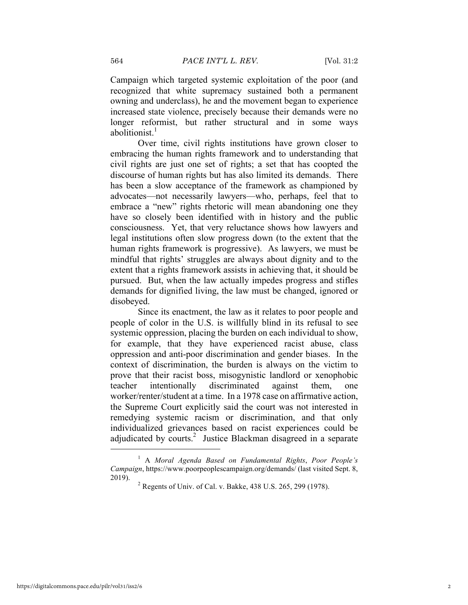Campaign which targeted systemic exploitation of the poor (and recognized that white supremacy sustained both a permanent owning and underclass), he and the movement began to experience increased state violence, precisely because their demands were no longer reformist, but rather structural and in some ways abolitionist.<sup>1</sup>

Over time, civil rights institutions have grown closer to embracing the human rights framework and to understanding that civil rights are just one set of rights; a set that has coopted the discourse of human rights but has also limited its demands. There has been a slow acceptance of the framework as championed by advocates—not necessarily lawyers—who, perhaps, feel that to embrace a "new" rights rhetoric will mean abandoning one they have so closely been identified with in history and the public consciousness. Yet, that very reluctance shows how lawyers and legal institutions often slow progress down (to the extent that the human rights framework is progressive). As lawyers, we must be mindful that rights' struggles are always about dignity and to the extent that a rights framework assists in achieving that, it should be pursued. But, when the law actually impedes progress and stifles demands for dignified living, the law must be changed, ignored or disobeyed.

Since its enactment, the law as it relates to poor people and people of color in the U.S. is willfully blind in its refusal to see systemic oppression, placing the burden on each individual to show, for example, that they have experienced racist abuse, class oppression and anti-poor discrimination and gender biases. In the context of discrimination, the burden is always on the victim to prove that their racist boss, misogynistic landlord or xenophobic teacher intentionally discriminated against them, one worker/renter/student at a time. In a 1978 case on affirmative action, the Supreme Court explicitly said the court was not interested in remedying systemic racism or discrimination, and that only individualized grievances based on racist experiences could be adjudicated by courts.<sup>2</sup> Justice Blackman disagreed in a separate

<sup>1</sup> A *Moral Agenda Based on Fundamental Rights*, *Poor People's Campaign*, https://www.poorpeoplescampaign.org/demands/ (last visited Sept. 8, 2019). <sup>2</sup> Regents of Univ. of Cal. v. Bakke, 438 U.S. 265, 299 (1978).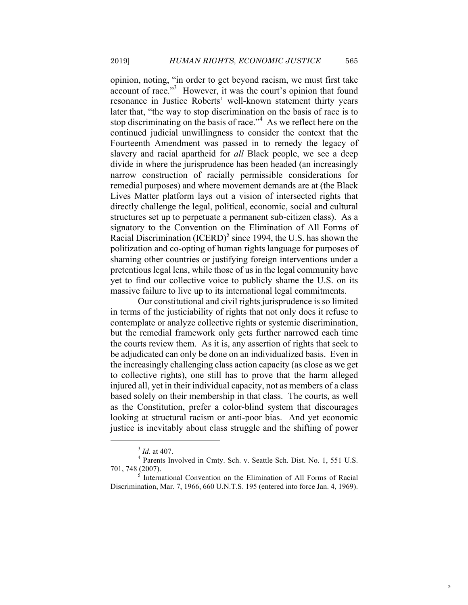opinion, noting, "in order to get beyond racism, we must first take account of race."<sup>3</sup> However, it was the court's opinion that found resonance in Justice Roberts' well-known statement thirty years later that, "the way to stop discrimination on the basis of race is to stop discriminating on the basis of race."<sup>4</sup> As we reflect here on the continued judicial unwillingness to consider the context that the Fourteenth Amendment was passed in to remedy the legacy of slavery and racial apartheid for *all* Black people, we see a deep divide in where the jurisprudence has been headed (an increasingly narrow construction of racially permissible considerations for remedial purposes) and where movement demands are at (the Black Lives Matter platform lays out a vision of intersected rights that directly challenge the legal, political, economic, social and cultural structures set up to perpetuate a permanent sub-citizen class). As a signatory to the Convention on the Elimination of All Forms of Racial Discrimination (ICERD)<sup>5</sup> since 1994, the U.S. has shown the politization and co-opting of human rights language for purposes of shaming other countries or justifying foreign interventions under a pretentious legal lens, while those of us in the legal community have yet to find our collective voice to publicly shame the U.S. on its massive failure to live up to its international legal commitments.

Our constitutional and civil rights jurisprudence is so limited in terms of the justiciability of rights that not only does it refuse to contemplate or analyze collective rights or systemic discrimination, but the remedial framework only gets further narrowed each time the courts review them. As it is, any assertion of rights that seek to be adjudicated can only be done on an individualized basis. Even in the increasingly challenging class action capacity (as close as we get to collective rights), one still has to prove that the harm alleged injured all, yet in their individual capacity, not as members of a class based solely on their membership in that class. The courts, as well as the Constitution, prefer a color-blind system that discourages looking at structural racism or anti-poor bias. And yet economic justice is inevitably about class struggle and the shifting of power

<sup>&</sup>lt;sup>3</sup> *Id.* at 407.<br><sup>4</sup> Parents Involved in Cmty. Sch. v. Seattle Sch. Dist. No. 1, 551 U.S.<br>701, 748 (2007).

International Convention on the Elimination of All Forms of Racial Discrimination, Mar. 7, 1966, 660 U.N.T.S. 195 (entered into force Jan. 4, 1969).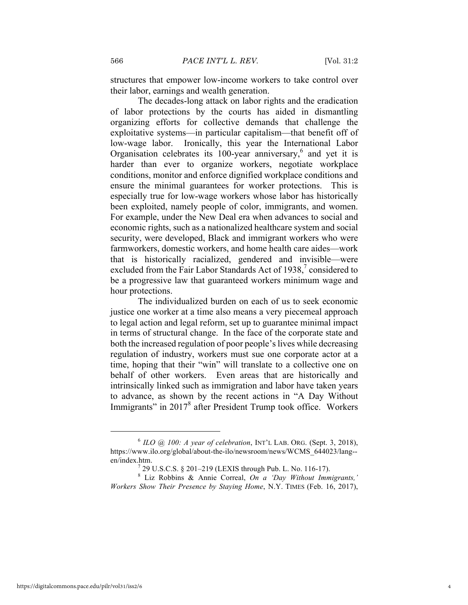structures that empower low-income workers to take control over their labor, earnings and wealth generation.

The decades-long attack on labor rights and the eradication of labor protections by the courts has aided in dismantling organizing efforts for collective demands that challenge the exploitative systems—in particular capitalism—that benefit off of low-wage labor. Ironically, this year the International Labor Organisation celebrates its 100-year anniversary,<sup>6</sup> and yet it is harder than ever to organize workers, negotiate workplace conditions, monitor and enforce dignified workplace conditions and ensure the minimal guarantees for worker protections. This is especially true for low-wage workers whose labor has historically been exploited, namely people of color, immigrants, and women. For example, under the New Deal era when advances to social and economic rights, such as a nationalized healthcare system and social security, were developed, Black and immigrant workers who were farmworkers, domestic workers, and home health care aides—work that is historically racialized, gendered and invisible—were excluded from the Fair Labor Standards Act of  $1938$ , considered to be a progressive law that guaranteed workers minimum wage and hour protections.

The individualized burden on each of us to seek economic justice one worker at a time also means a very piecemeal approach to legal action and legal reform, set up to guarantee minimal impact in terms of structural change. In the face of the corporate state and both the increased regulation of poor people's lives while decreasing regulation of industry, workers must sue one corporate actor at a time, hoping that their "win" will translate to a collective one on behalf of other workers. Even areas that are historically and intrinsically linked such as immigration and labor have taken years to advance, as shown by the recent actions in "A Day Without Immigrants" in 2017<sup>8</sup> after President Trump took office. Workers

 $6$  *ILO*  $\omega$  *100: A year of celebration*, INT'L LAB. ORG. (Sept. 3, 2018), https://www.ilo.org/global/about-the-ilo/newsroom/news/WCMS\_644023/lang- en/index.htm.<br><sup>7</sup> 29 U.S.C.S. § 201–219 (LEXIS through Pub. L. No. 116-17).<br><sup>8</sup> Liz Robbins & Annie Correal, *On a 'Day Without Immigrants*,'

*Workers Show Their Presence by Staying Home*, N.Y. TIMES (Feb. 16, 2017),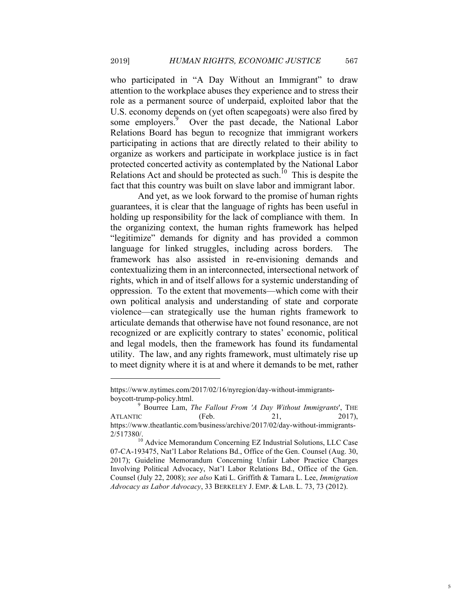who participated in "A Day Without an Immigrant" to draw attention to the workplace abuses they experience and to stress their role as a permanent source of underpaid, exploited labor that the U.S. economy depends on (yet often scapegoats) were also fired by some employers.<sup>9</sup> Over the past decade, the National Labor Relations Board has begun to recognize that immigrant workers participating in actions that are directly related to their ability to organize as workers and participate in workplace justice is in fact protected concerted activity as contemplated by the National Labor Relations Act and should be protected as such.<sup>10</sup> This is despite the fact that this country was built on slave labor and immigrant labor.

And yet, as we look forward to the promise of human rights guarantees, it is clear that the language of rights has been useful in holding up responsibility for the lack of compliance with them. In the organizing context, the human rights framework has helped "legitimize" demands for dignity and has provided a common language for linked struggles, including across borders. The framework has also assisted in re-envisioning demands and contextualizing them in an interconnected, intersectional network of rights, which in and of itself allows for a systemic understanding of oppression. To the extent that movements—which come with their own political analysis and understanding of state and corporate violence—can strategically use the human rights framework to articulate demands that otherwise have not found resonance, are not recognized or are explicitly contrary to states' economic, political and legal models, then the framework has found its fundamental utility. The law, and any rights framework, must ultimately rise up to meet dignity where it is at and where it demands to be met, rather

https://www.nytimes.com/2017/02/16/nyregion/day-without-immigrantsboycott-trump-policy.html. <sup>9</sup> Bourree Lam, *The Fallout From 'A Day Without Immigrants*', THE

ATLANTIC (Feb. 21, 2017), https://www.theatlantic.com/business/archive/2017/02/day-without-immigrants-

<sup>2/517380/.</sup> <sup>10</sup> Advice Memorandum Concerning EZ Industrial Solutions, LLC Case 07-CA-193475, Nat'l Labor Relations Bd., Office of the Gen. Counsel (Aug. 30, 2017); Guideline Memorandum Concerning Unfair Labor Practice Charges Involving Political Advocacy, Nat'l Labor Relations Bd., Office of the Gen. Counsel (July 22, 2008); *see also* Kati L. Griffith & Tamara L. Lee, *Immigration Advocacy as Labor Advocacy*, 33 BERKELEY J. EMP. & LAB. L. 73, 73 (2012).